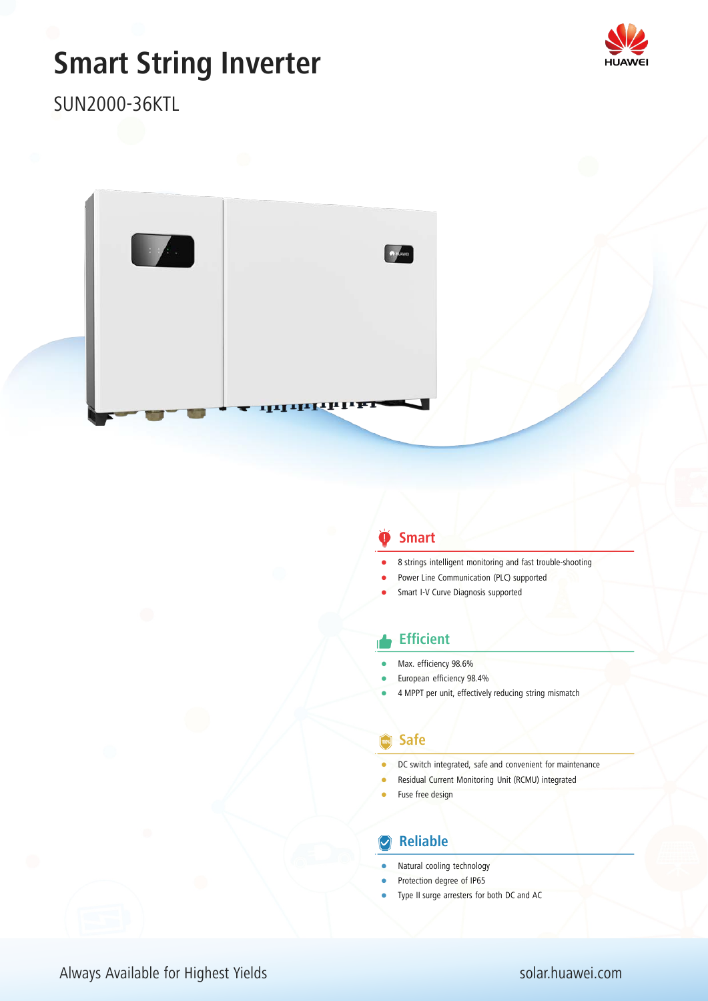# **Smart String Inverter**



SUN2000-36KTL



## **Smart**

- 8 strings intelligent monitoring and fast trouble-shooting
- Power Line Communication (PLC) supported
- Smart I-V Curve Diagnosis supported

### **Efficient**

- Max. efficiency 98.6%
- European efficiency 98.4%
- 4 MPPT per unit, effectively reducing string mismatch

### **Safe**

- DC switch integrated, safe and convenient for maintenance
- Residual Current Monitoring Unit (RCMU) integrated
- Fuse free design

## **Z** Reliable

- Natural cooling technology
- Protection degree of IP65
- Type II surge arresters for both DC and AC

# Always Available for Highest Yields solar.huawei.com